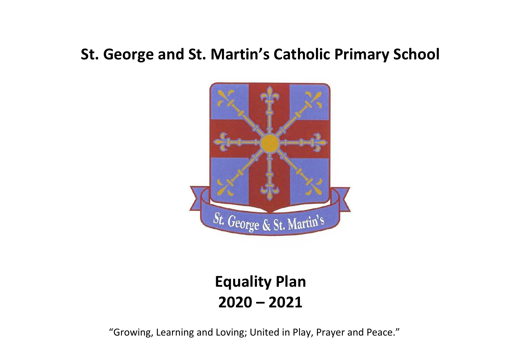## **St. George and St. Martin's Catholic Primary School**



## **Equality Plan 2020 – 2021**

"Growing, Learning and Loving; United in Play, Prayer and Peace."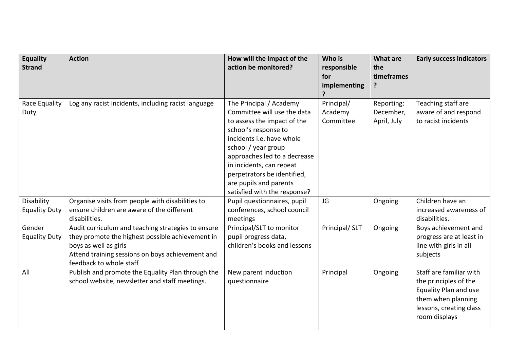| <b>Equality</b><br><b>Strand</b>   | <b>Action</b>                                                                                                                                                                                                  | How will the impact of the<br>action be monitored?                                                                                                                                                                                                                                                                     | Who is<br>responsible<br>for<br>implementing | <b>What are</b><br>the<br>timeframes<br>? | <b>Early success indicators</b>                                                                                                                    |
|------------------------------------|----------------------------------------------------------------------------------------------------------------------------------------------------------------------------------------------------------------|------------------------------------------------------------------------------------------------------------------------------------------------------------------------------------------------------------------------------------------------------------------------------------------------------------------------|----------------------------------------------|-------------------------------------------|----------------------------------------------------------------------------------------------------------------------------------------------------|
| Race Equality<br>Duty              | Log any racist incidents, including racist language                                                                                                                                                            | The Principal / Academy<br>Committee will use the data<br>to assess the impact of the<br>school's response to<br>incidents i.e. have whole<br>school / year group<br>approaches led to a decrease<br>in incidents, can repeat<br>perpetrators be identified,<br>are pupils and parents<br>satisfied with the response? | Principal/<br>Academy<br>Committee           | Reporting:<br>December,<br>April, July    | Teaching staff are<br>aware of and respond<br>to racist incidents                                                                                  |
| Disability<br><b>Equality Duty</b> | Organise visits from people with disabilities to<br>ensure children are aware of the different<br>disabilities.                                                                                                | Pupil questionnaires, pupil<br>conferences, school council<br>meetings                                                                                                                                                                                                                                                 | JG                                           | Ongoing                                   | Children have an<br>increased awareness of<br>disabilities.                                                                                        |
| Gender<br><b>Equality Duty</b>     | Audit curriculum and teaching strategies to ensure<br>they promote the highest possible achievement in<br>boys as well as girls<br>Attend training sessions on boys achievement and<br>feedback to whole staff | Principal/SLT to monitor<br>pupil progress data,<br>children's books and lessons                                                                                                                                                                                                                                       | Principal/ SLT                               | Ongoing                                   | Boys achievement and<br>progress are at least in<br>line with girls in all<br>subjects                                                             |
| All                                | Publish and promote the Equality Plan through the<br>school website, newsletter and staff meetings.                                                                                                            | New parent induction<br>questionnaire                                                                                                                                                                                                                                                                                  | Principal                                    | Ongoing                                   | Staff are familiar with<br>the principles of the<br><b>Equality Plan and use</b><br>them when planning<br>lessons, creating class<br>room displays |